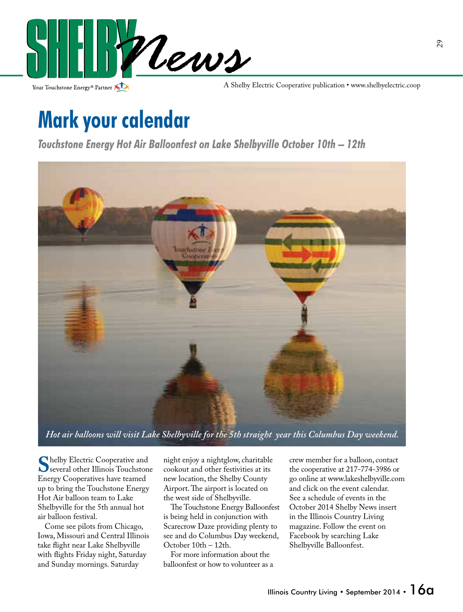

Your Touchstone Energy<sup>®</sup> Partner

A Shelby Electric Cooperative publication • www.shelbyelectric.coop

## **Mark your calendar**

*Touchstone Energy Hot Air Balloonfest on Lake Shelbyville October 10th – 12th* 



*Hot air balloons will visit Lake Shelbyville for the 5th straight year this Columbus Day weekend.*

**S**helby Electric Cooperative and<br>
Several other Illinois Touchstone<br>
Eneroy Cooperatives have teamed Energy Cooperatives have teamed up to bring the Touchstone Energy Hot Air balloon team to Lake Shelbyville for the 5th annual hot air balloon festival.

 Come see pilots from Chicago, Iowa, Missouri and Central Illinois take flight near Lake Shelbyville with flights Friday night, Saturday and Sunday mornings. Saturday

night enjoy a nightglow, charitable cookout and other festivities at its new location, the Shelby County Airport. The airport is located on the west side of Shelbyville.

The Touchstone Energy Balloonfest is being held in conjunction with Scarecrow Daze providing plenty to see and do Columbus Day weekend, October 10th – 12th.

 For more information about the balloonfest or how to volunteer as a

crew member for a balloon, contact the cooperative at 217-774-3986 or go online at www.lakeshelbyville.com and click on the event calendar. See a schedule of events in the October 2014 Shelby News insert in the Illinois Country Living magazine. Follow the event on Facebook by searching Lake Shelbyville Balloonfest.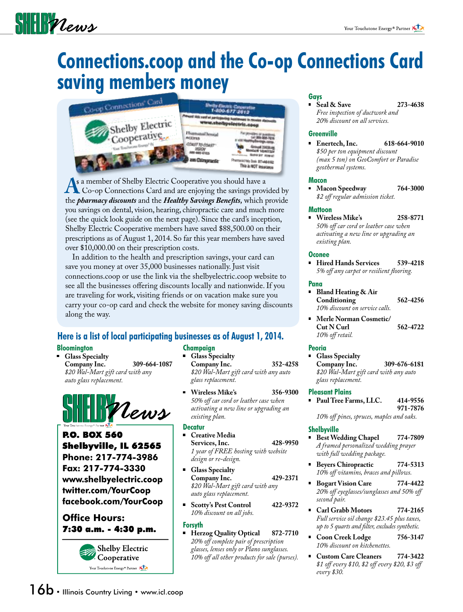# $\frac{1}{2}$

### **Connections.coop and the Co-op Connections Card saving members money**



**A**s a member of Shelby Electric Cooperative you should have a<br> **A** Co-op Connections Card and are enjoying the savings provided by<br>
the *pharmacy discounts* and the *Healthy Savings Renefits* which provide the *pharmacy discounts* and the *Healthy Savings Benefits*, which provide you savings on dental, vision, hearing, chiropractic care and much more (see the quick look guide on the next page). Since the card's inception, Shelby Electric Cooperative members have saved \$88,500.00 on their prescriptions as of August 1, 2014. So far this year members have saved over \$10,000.00 on their prescription costs.

 In addition to the health and prescription savings, your card can save you money at over 35,000 businesses nationally. Just visit connections.coop or use the link via the shelbyelectric.coop website to see all the businesses offering discounts locally and nationwide. If you are traveling for work, visiting friends or on vacation make sure you carry your co-op card and check the website for money saving discounts along the way.

#### **Here is a list of local participating businesses as of August 1, 2014.**

#### **Bloomington**

 **Glass Specialty Company Inc. 309-664-1087**  *\$20 Wal-Mart gift card with any auto glass replacement.*



P.O. BOX 560 Shelbyville, IL 62565 **Phone: 217-774-3986 Fax: 217-774-3330 www.shelbyelectric.coop twitter.com/YourCoop facebook.com/YourCoop**

#### **Office Hours:** 7:30 a.m. - 4:30 p.m.



#### **Champaign**

 **Glass Specialty Company Inc. 352-4258**  *\$20 Wal-Mart gift card with any auto glass replacement.*

 **Wireless Mike's 356-9300**  *50% o car cord or leather case when activating a new line or upgrading an existing plan.*

#### **Decatur**

- **Creative Media Services, Inc. 428-9950**  *1 year of FREE hosting with website design or re-design.*
- **Glass Specialty Company Inc. 429-2371**  *\$20 Wal-Mart gift card with any auto glass replacement.*
- **Scotty's Pest Control 422-9372**  *10% discount on all jobs.*

#### **Forsyth**

 **Herzog Quality Optical 872-7710**  *20% o complete pair of prescription glasses, lenses only or Plano sunglasses. 10% o all other products for sale (purses).*

#### **Gays**

**Seal & Save 273-4638**  *Free inspection of ductwork and 20% discount on all services.*

#### **Greenville**

 **Enertech, Inc. 618-664-9010**  *\$50 per ton equipment discount (max 5 ton) on GeoComfort or Paradise geothermal systems.*

#### **Macon**

 **Macon Speedway 764-3000**  $$2$  off regular admission ticket.

#### **Mattoon**

 **Wireless Mike's 258-8771**  *50% o car cord or leather case when activating a new line or upgrading an existing plan.*

#### **Oconee**

 **Hired Hands Services 539-4218** *5% off any carpet or resilient flooring.* 

#### **Pana**

- **Bland Heating & Air Conditioning 562-4256**  *10% discount on service calls.*
- **Merle Norman Cosmetic/ Cut N Curl 562-4722** 10% off retail.

#### **Peoria**

 **Glass Specialty Company Inc. 309-676-6181**   *\$20 Wal-Mart gift card with any auto glass replacement.*

#### **Pleasant Plains**

 **Paul Tree Farms, LLC. 414-9556 971-7876** 10% off pines, spruces, maples and oaks.

#### **Shelbyville**

- **Best Wedding Chapel 774-7809**  *A framed personalized wedding prayer with full wedding package.*
- **Beyers Chiropractic 774-5313** 10% off vitamins, braces and pillows.
- **Bogart Vision Care 774-4422** 20% off eyeglasses/sunglasses and 50% off  *second pair.*
- **Carl Grabb Motors 774-2165**  *Full service oil change \$23.45 plus taxes, up to 5 quarts and lter, excludes synthetic.*
- **Coon Creek Lodge 756-3147**  *10% discount on kitchenettes.*
- **Custom Care Cleaners 774-3422** \$1 off every \$10, \$2 off every \$20, \$3 off  *every \$30.*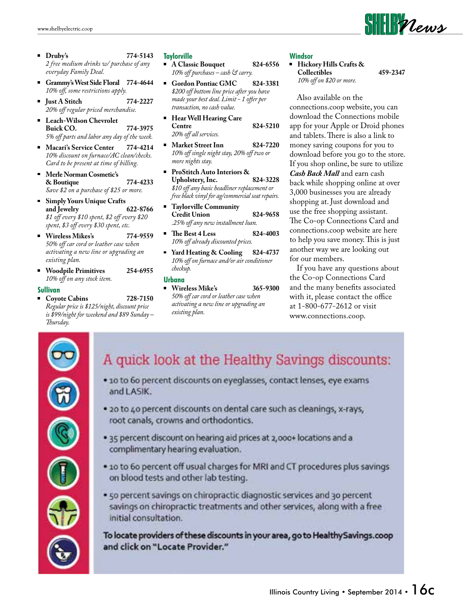- **Druby's 774-5143**  *2 free medium drinks w/ purchase of any everyday Family Deal.*
- **Grammy's West Side Floral 774-4644** 10% off, some restrictions apply.
- **Just A Stitch 774-2227**  *20% o regular priced merchandise.*
- **Leach-Wilson Chevrolet Buick CO. 774-3975**  *5% o parts and labor any day of the week.*
- **Macari's Service Center 774-4214**  *10% discount on furnace/AC clean/checks. Card to be present at time of billing.*
- **Merle Norman Cosmetic's & Boutique 774-4233**  *Save \$2 on a purchase of \$25 or more.*
- **Simply Yours Unique Crafts**  and Jewelry  $$1$  off every \$10 spent, \$2 off every \$20 spent, \$3 off every \$30 spent, etc.
- **Wireless Mikes's 774-9559**  *50% o car cord or leather case when activating a new line or upgrading an existing plan.*
- **Woodpile Primitives 254-6955**  *10% o on any stock item.*

#### **Sullivan**

 **Coyote Cabins 728-7150**  *Regular price is \$125/night, discount price is \$99/night for weekend and \$89 Sunday –* Thursday.

#### **Taylorville**

- **A Classic Bouquet 824-6556**  *10% o purchases – cash & carry.*
- Gordon Pontiac GMC 824-3381  *\$200 o bottom line price after you have*  made your best deal. Limit - 1 offer per  *transaction, no cash value.*
- **Hear Well Hearing Care Centre 824-5210** 20% off all services.
- **Market Street Inn 824-7220** 10% off single night stay, 20% off two or  *more nights stay.*
- **ProStitch Auto Interiors & Upholstery, Inc. 824-3228**  $$10$  off any basic headliner replacement or  *free black vinyl for ag/commercial seat repairs.*
- **Taylorville Community Credit Union 824-9658**  *.25% o any new installment loan.*
- **•** The Best 4 Less 824-4003  *10% o already discounted prices.*
- **Yard Heating & Cooling 824-4737**  *10% o on furnace and/or air conditioner checkup.*

#### **Urbana**

 **Wireless Mike's 365-9300**  *50% o car cord or leather case when activating a new line or upgrading an existing plan.*

#### **Windsor**

 **Hickory Hills Crafts & Collectibles 459-2347**  *10% o on \$20 or more.*

 $\textbf{S}\textbf{H}\textbf{H}$ *Plews* 

 Also available on the connections.coop website, you can download the Connections mobile app for your Apple or Droid phones and tablets. There is also a link to money saving coupons for you to download before you go to the store. If you shop online, be sure to utilize *Cash Back Mall* and earn cash back while shopping online at over 3,000 businesses you are already shopping at. Just download and use the free shopping assistant. The Co-op Connections Card and connections.coop website are here to help you save money. This is just another way we are looking out for our members.

 If you have any questions about the Co-op Connections Card and the many benefits associated with it, please contact the office at 1-800-677-2612 or visit www.connections.coop.



#### A quick look at the Healthy Savings discounts:

- · 10 to 60 percent discounts on eyeglasses, contact lenses, eye exams and LASIK.
- . 20 to 40 percent discounts on dental care such as cleanings, x-rays, root canals, crowns and orthodontics.
- . 35 percent discount on hearing aid prices at 2,000+ locations and a complimentary hearing evaluation.
- . 10 to 60 percent off usual charges for MRI and CT procedures plus savings on blood tests and other lab testing.
- . 50 percent savings on chiropractic diagnostic services and 30 percent savings on chiropractic treatments and other services, along with a free initial consultation.

To locate providers of these discounts in your area, go to Healthy Savings.coop and click on "Locate Provider."